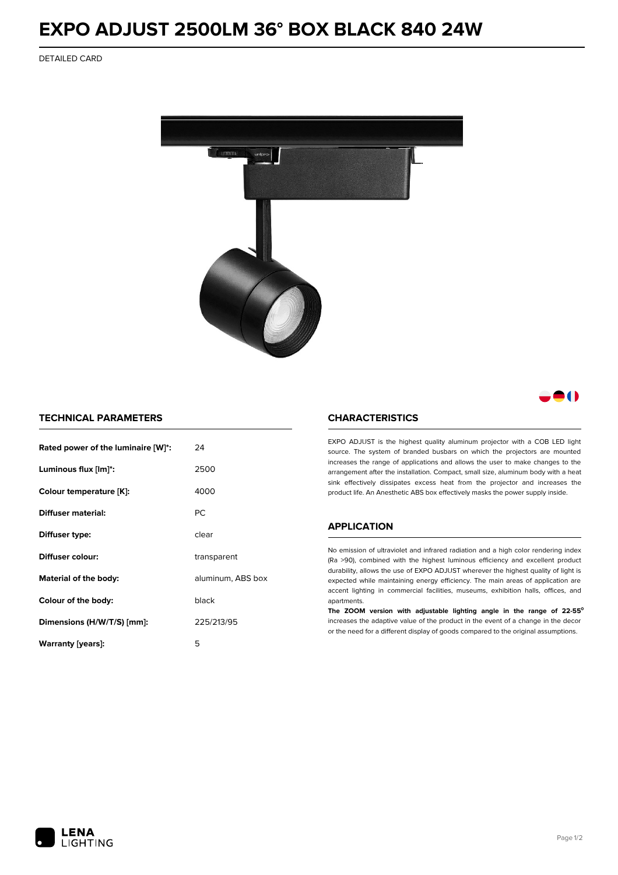# **EXPO ADJUST 2500LM 36° BOX BLACK 840 24W**

DETAILED CARD



# 80

## **TECHNICAL PARAMETERS**

| Rated power of the luminaire [W]*: | 24                |  |
|------------------------------------|-------------------|--|
| Luminous flux [lm]*:               | 2500              |  |
| Colour temperature [K]:            | 4000              |  |
| Diffuser material:                 | РC                |  |
| Diffuser type:                     | clear             |  |
| Diffuser colour:                   | transparent       |  |
| Material of the body:              | aluminum, ABS box |  |
| Colour of the body:                | black             |  |
| Dimensions (H/W/T/S) [mm]:         | 225/213/95        |  |
| Warranty (years):                  | 5                 |  |

#### **CHARACTERISTICS**

EXPO ADJUST is the highest quality aluminum projector with a COB LED light source. The system of branded busbars on which the projectors are mounted increases the range of applications and allows the user to make changes to the arrangement after the installation. Compact, small size, aluminum body with a heat sink effectively dissipates excess heat from the projector and increases the product life. An Anesthetic ABS box effectively masks the power supply inside.

### **APPLICATION**

No emission of ultraviolet and infrared radiation and a high color rendering index (Ra >90), combined with the highest luminous efficiency and excellent product durability, allows the use of EXPO ADJUST wherever the highest quality of light is expected while maintaining energy efficiency. The main areas of application are accent lighting in commercial facilities, museums, exhibition halls, offices, and apartments.

**The ZOOM version with adjustable lighting angle in the range of 22-55⁰** increases the adaptive value of the product in the event of a change in the decor or the need for a different display of goods compared to the original assumptions.